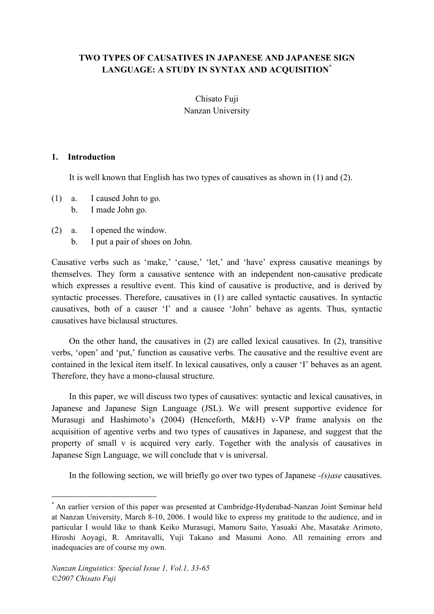# **TWO TYPES OF CAUSATIVES IN JAPANESE AND JAPANESE SIGN LANGUAGE: A STUDY IN SYNTAX AND ACQUISITION\***

Chisato Fuji Nanzan University

## **1. Introduction**

It is well known that English has two types of causatives as shown in (1) and (2).

- (1) a. I caused John to go.
	- b. I made John go.
- (2) a. I opened the window.
	- b. I put a pair of shoes on John.

Causative verbs such as 'make,' 'cause,' 'let,' and 'have' express causative meanings by themselves. They form a causative sentence with an independent non-causative predicate which expresses a resultive event. This kind of causative is productive, and is derived by syntactic processes. Therefore, causatives in (1) are called syntactic causatives. In syntactic causatives, both of a causer 'I' and a causee 'John' behave as agents. Thus, syntactic causatives have biclausal structures.

On the other hand, the causatives in (2) are called lexical causatives. In (2), transitive verbs, 'open' and 'put,' function as causative verbs. The causative and the resultive event are contained in the lexical item itself. In lexical causatives, only a causer 'I' behaves as an agent. Therefore, they have a mono-clausal structure.

In this paper, we will discuss two types of causatives: syntactic and lexical causatives, in Japanese and Japanese Sign Language (JSL). We will present supportive evidence for Murasugi and Hashimoto's (2004) (Henceforth, M&H) v-VP frame analysis on the acquisition of agentive verbs and two types of causatives in Japanese, and suggest that the property of small v is acquired very early. Together with the analysis of causatives in Japanese Sign Language, we will conclude that v is universal.

In the following section, we will briefly go over two types of Japanese *-(s)ase* causatives.

 <sup>\*</sup> An earlier version of this paper was presented at Cambridge-Hyderabad-Nanzan Joint Seminar held at Nanzan University, March 8-10, 2006. I would like to express my gratitude to the audience, and in particular I would like to thank Keiko Murasugi, Mamoru Saito, Yasuaki Abe, Masatake Arimoto, Hiroshi Aoyagi, R. Amritavalli, Yuji Takano and Masumi Aono. All remaining errors and inadequacies are of course my own.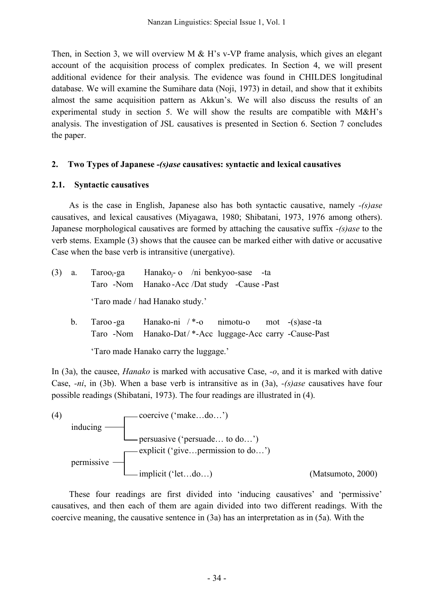Then, in Section 3, we will overview M  $\&$  H's v-VP frame analysis, which gives an elegant account of the acquisition process of complex predicates. In Section 4, we will present additional evidence for their analysis. The evidence was found in CHILDES longitudinal database. We will examine the Sumihare data (Noji, 1973) in detail, and show that it exhibits almost the same acquisition pattern as Akkun's. We will also discuss the results of an experimental study in section 5. We will show the results are compatible with M&H's analysis. The investigation of JSL causatives is presented in Section 6. Section 7 concludes the paper.

# **2. Two Types of Japanese** *-(s)ase* **causatives: syntactic and lexical causatives**

# **2.1. Syntactic causatives**

As is the case in English, Japanese also has both syntactic causative, namely *-(s)ase* causatives, and lexical causatives (Miyagawa, 1980; Shibatani, 1973, 1976 among others). Japanese morphological causatives are formed by attaching the causative suffix *-(s)ase* to the verb stems. Example (3) shows that the causee can be marked either with dative or accusative Case when the base verb is intransitive (unergative).

| $(3)$ a. |         | $Tarooi-ga$ Hanako <sub>i</sub> - o /ni benkyoo-sase -ta<br>Taro -Nom Hanako -Acc /Dat study -Cause -Past   |  |  |
|----------|---------|-------------------------------------------------------------------------------------------------------------|--|--|
|          |         | 'Taro made / had Hanako study.'                                                                             |  |  |
|          | $b_{1}$ | Taroo-ga Hanako-ni /*-o nimotu-o mot -(s)ase-ta<br>Taro -Nom Hanako-Dat/*-Acc luggage-Acc carry -Cause-Past |  |  |

'Taro made Hanako carry the luggage.'

In (3a), the causee, *Hanako* is marked with accusative Case, *-o*, and it is marked with dative Case, *-ni*, in (3b). When a base verb is intransitive as in (3a), *-(s)ase* causatives have four possible readings (Shibatani, 1973). The four readings are illustrated in (4).



These four readings are first divided into 'inducing causatives' and 'permissive' causatives, and then each of them are again divided into two different readings. With the coercive meaning, the causative sentence in (3a) has an interpretation as in (5a). With the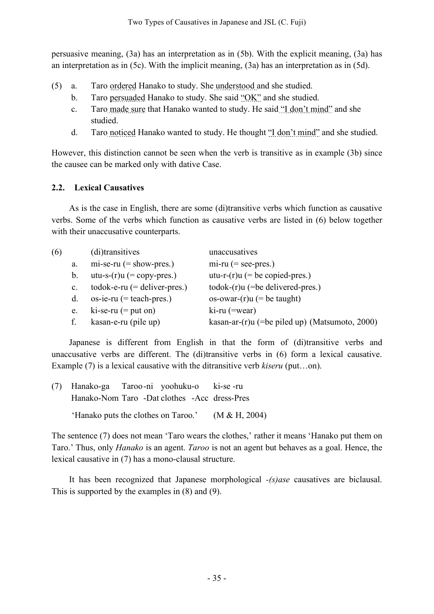persuasive meaning, (3a) has an interpretation as in (5b). With the explicit meaning, (3a) has an interpretation as in (5c). With the implicit meaning, (3a) has an interpretation as in (5d).

- (5) a. Taro ordered Hanako to study. She understood and she studied.
	- b. Taro persuaded Hanako to study. She said "OK" and she studied.
	- c. Taro made sure that Hanako wanted to study. He said "I don't mind" and she studied.
	- d. Taro noticed Hanako wanted to study. He thought "I don't mind" and she studied.

However, this distinction cannot be seen when the verb is transitive as in example (3b) since the causee can be marked only with dative Case.

# **2.2. Lexical Causatives**

As is the case in English, there are some (di)transitive verbs which function as causative verbs. Some of the verbs which function as causative verbs are listed in (6) below together with their unaccusative counterparts.

| (6) |                | (di)transitives                | unaccusatives                                     |
|-----|----------------|--------------------------------|---------------------------------------------------|
|     | a.             | $mi$ -se-ru (= show-pres.)     | $mi$ -ru (= see-pres.)                            |
|     | b.             | utu-s- $(r)$ u (= copy-pres.)  | utu-r- $(r)u$ (= be copied-pres.)                 |
|     | $\mathbf{c}$ . | $todo$ -e-ru (= deliver-pres.) | $\text{todok-(r)}$ u (=be delivered-pres.)        |
|     | d.             | $\cos$ -ie-ru (= teach-pres.)  | os-owar- $(r)u$ (= be taught)                     |
|     | e.             | $ki$ -se-ru (= put on)         | $\text{ki-ru}$ (=wear)                            |
|     | f.             | kasan-e-ru (pile up)           | kasan-ar- $(r)u$ (=be piled up) (Matsumoto, 2000) |

Japanese is different from English in that the form of (di)transitive verbs and unaccusative verbs are different. The (di)transitive verbs in (6) form a lexical causative. Example (7) is a lexical causative with the ditransitive verb *kiseru* (put…on).

| (7) Hanako-ga Taroo-ni yoohuku-o ki-se-ru           |  |  |  |
|-----------------------------------------------------|--|--|--|
| Hanako-Nom Taro -Dat clothes -Acc dress-Pres        |  |  |  |
| 'Hanako puts the clothes on Taroo.' $(M & H, 2004)$ |  |  |  |

lexical causative in (7) has a mono-clausal structure.

The sentence (7) does not mean 'Taro wears the clothes,' rather it means 'Hanako put them on Taro.' Thus, only *Hanako* is an agent. *Taroo* is not an agent but behaves as a goal. Hence, the

It has been recognized that Japanese morphological *-(s)ase* causatives are biclausal. This is supported by the examples in (8) and (9).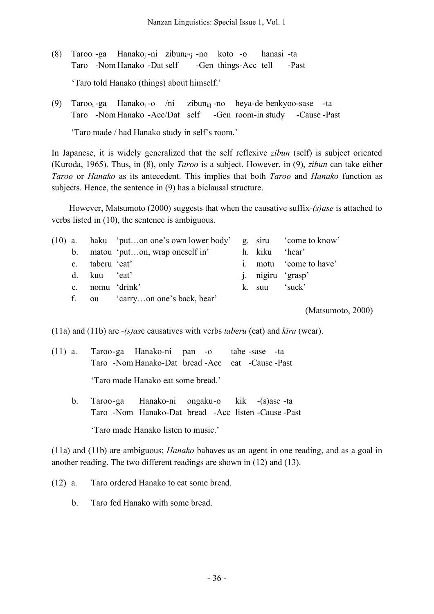- (8) Taroo<sub>i</sub>-ga Hanako<sub>i</sub>-ni zibun<sub>i/\*i</sub>-no koto -o hanasi-ta Taro -Nom Hanako -Dat self -Gen things-Acc tell -Past 'Taro told Hanako (things) about himself.'
- (9) Taroo<sub>i</sub>-ga Hanako<sub>i</sub>-o /ni zibun<sub>i/i</sub>-no heya-de-benkyoo-sase -ta Taro -Nom Hanako -Acc/Dat self -Gen room-in study -Cause -Past

'Taro made / had Hanako study in self's room.'

In Japanese, it is widely generalized that the self reflexive *zibun* (self) is subject oriented (Kuroda, 1965). Thus, in (8), only *Taroo* is a subject. However, in (9), *zibun* can take either *Taroo* or *Hanako* as its antecedent. This implies that both *Taroo* and *Hanako* function as subjects. Hence, the sentence in (9) has a biclausal structure.

However, Matsumoto (2000) suggests that when the causative suffix*-(s)ase* is attached to verbs listed in (10), the sentence is ambiguous.

|  |                 | $(10)$ a. haku 'puton one's own lower body' g. siru 'come to know' |                           |                        |
|--|-----------------|--------------------------------------------------------------------|---------------------------|------------------------|
|  |                 | b. matou 'puton, wrap oneself in'                                  | h. kiku 'hear'            |                        |
|  | c. taberu 'eat' |                                                                    |                           | i. motu 'come to have' |
|  | d. kuu 'eat'    |                                                                    | <i>i</i> . nigiru 'grasp' |                        |
|  |                 | e. nomu 'drink'                                                    | k. suu 'suck'             |                        |
|  |                 | ou 'carryon one's back, bear'                                      |                           |                        |

(Matsumoto, 2000)

(11a) and (11b) are *-(s)as*e causatives with verbs *taberu* (eat) and *kiru* (wear).

- (11) a. Taroo-ga Hanako-ni pan -o tabe -sase -ta Taro -Nom Hanako-Dat bread -Acc eat -Cause -Past 'Taro made Hanako eat some bread.'
	- b. Taroo-ga Hanako-ni ongaku-o kik -(s)ase -ta Taro -Nom Hanako-Dat bread -Acc listen -Cause -Past

'Taro made Hanako listen to music.'

(11a) and (11b) are ambiguous; *Hanako* bahaves as an agent in one reading, and as a goal in another reading. The two different readings are shown in (12) and (13).

(12) a. Taro ordered Hanako to eat some bread.

b. Taro fed Hanako with some bread.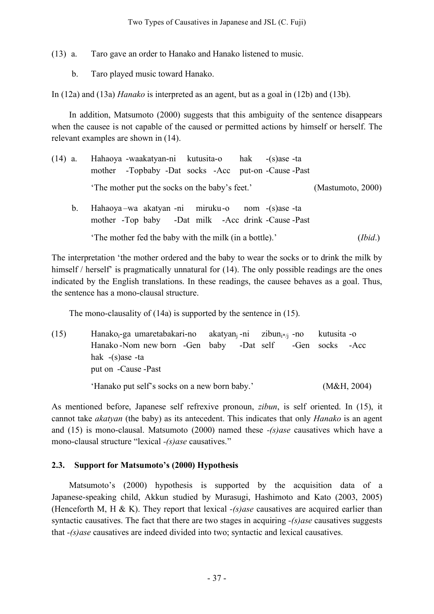(13) a. Taro gave an order to Hanako and Hanako listened to music.

b. Taro played music toward Hanako.

In (12a) and (13a) *Hanako* is interpreted as an agent, but as a goal in (12b) and (13b).

In addition, Matsumoto (2000) suggests that this ambiguity of the sentence disappears when the causee is not capable of the caused or permitted actions by himself or herself. The relevant examples are shown in (14).

| $(14)$ a. |    | Hahaoya -waakatyan-ni kutusita-o hak -(s)ase -ta<br>mother -Topbaby -Dat socks -Acc put-on -Cause -Past |  |                   |
|-----------|----|---------------------------------------------------------------------------------------------------------|--|-------------------|
|           |    | The mother put the socks on the baby's feet.'                                                           |  | (Mastumoto, 2000) |
|           | b. | Hahaoya-wa akatyan-ni miruku-o nom -(s)ase-ta<br>mother -Top baby -Dat milk -Acc drink -Cause -Past     |  |                   |
|           |    | The mother fed the baby with the milk (in a bottle).'                                                   |  | (Ibid.)           |

The interpretation 'the mother ordered and the baby to wear the socks or to drink the milk by himself / herself' is pragmatically unnatural for (14). The only possible readings are the ones indicated by the English translations. In these readings, the causee behaves as a goal. Thus, the sentence has a mono-clausal structure.

The mono-clausality of (14a) is supported by the sentence in (15).

(15) Hanako<sub>i</sub>-ga umaretabakari-no akatyan<sub>i</sub>-ni zibun<sub>i\*/i</sub>-no kutusita -o Hanako -Nom new born -Gen baby -Dat self -Gen socks -Acc hak -(s)ase -ta put on -Cause -Past 'Hanako put self's socks on a new born baby.' (M&H, 2004)

As mentioned before, Japanese self refrexive pronoun, *zibun*, is self oriented. In (15), it cannot take *akatyan* (the baby) as its antecedent. This indicates that only *Hanako* is an agent and (15) is mono-clausal. Matsumoto (2000) named these *-(s)ase* causatives which have a mono-clausal structure "lexical *-(s)ase* causatives."

# **2.3. Support for Matsumoto's (2000) Hypothesis**

Matsumoto's (2000) hypothesis is supported by the acquisition data of a Japanese-speaking child, Akkun studied by Murasugi, Hashimoto and Kato (2003, 2005) (Henceforth M, H & K). They report that lexical *-(s)ase* causatives are acquired earlier than syntactic causatives. The fact that there are two stages in acquiring *-(s)ase* causatives suggests that *-(s)ase* causatives are indeed divided into two; syntactic and lexical causatives.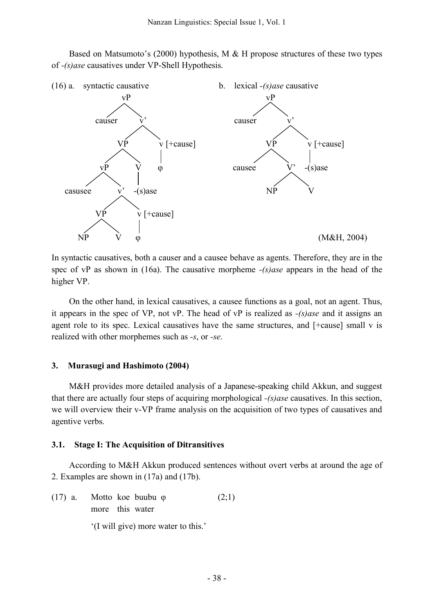Based on Matsumoto's (2000) hypothesis, M & H propose structures of these two types of *-(s)ase* causatives under VP-Shell Hypothesis.



In syntactic causatives, both a causer and a causee behave as agents. Therefore, they are in the spec of vP as shown in (16a). The causative morpheme *-(s)ase* appears in the head of the higher VP.

On the other hand, in lexical causatives, a causee functions as a goal, not an agent. Thus, it appears in the spec of VP, not vP. The head of vP is realized as *-(s)ase* and it assigns an agent role to its spec. Lexical causatives have the same structures, and [+cause] small v is realized with other morphemes such as *-s*, or *-se*.

### **3. Murasugi and Hashimoto (2004)**

M&H provides more detailed analysis of a Japanese-speaking child Akkun, and suggest that there are actually four steps of acquiring morphological *-(s)ase* causatives. In this section, we will overview their v-VP frame analysis on the acquisition of two types of causatives and agentive verbs.

### **3.1. Stage I: The Acquisition of Ditransitives**

According to M&H Akkun produced sentences without overt verbs at around the age of 2. Examples are shown in (17a) and (17b).

(17) a. Motto koe buubu  $\varphi$  (2;1) more this water

'(I will give) more water to this.'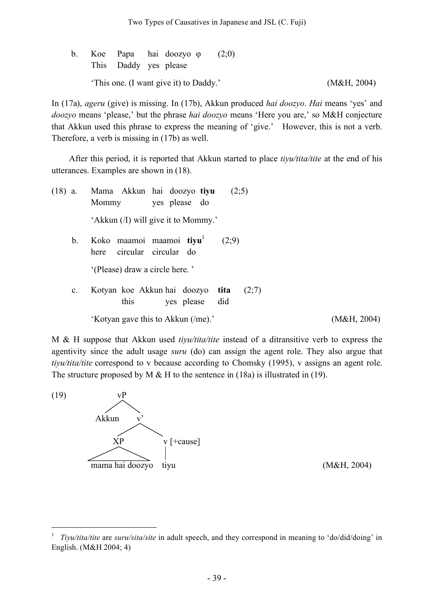|  | This Daddy yes please | b. Koe Papa hai doozyo o               | (2,0) |             |
|--|-----------------------|----------------------------------------|-------|-------------|
|  |                       | 'This one. (I want give it) to Daddy.' |       | (M&H, 2004) |

In (17a), *ageru* (give) is missing. In (17b), Akkun produced *hai doozyo*. *Hai* means 'yes' and *doozyo* means 'please,' but the phrase *hai doozyo* means 'Here you are,' so M&H conjecture that Akkun used this phrase to express the meaning of 'give.' However, this is not a verb. Therefore, a verb is missing in (17b) as well.

After this period, it is reported that Akkun started to place *tiyu/tita/tite* at the end of his utterances. Examples are shown in (18).

| $(18)$ a.      | Mama Akkun hai doozyo tiyu<br>(2;5)<br>yes please do<br>Mommy          |             |
|----------------|------------------------------------------------------------------------|-------------|
|                | 'Akkun (/I) will give it to Mommy.'                                    |             |
| b.             | Koko maamoi maamoi tiyu<br>(2,9)<br>circular circular do<br>here       |             |
|                | '(Please) draw a circle here.'                                         |             |
| $\mathbf{c}$ . | Kotyan koe Akkun hai doozyo tita<br>(2;7)<br>this<br>yes please<br>did |             |
|                | 'Kotyan gave this to Akkun (/me).'                                     | (M&H, 2004) |

M & H suppose that Akkun used *tiyu/tita/tite* instead of a ditransitive verb to express the agentivity since the adult usage *suru* (do) can assign the agent role. They also argue that *tiyu/tita/tite* correspond to v because according to Chomsky (1995), v assigns an agent role. The structure proposed by M  $\&$  H to the sentence in (18a) is illustrated in (19).



 <sup>1</sup> *Tiyu/tita/tite* are *suru/sita/site* in adult speech, and they correspond in meaning to 'do/did/doing' in English. (M&H 2004; 4)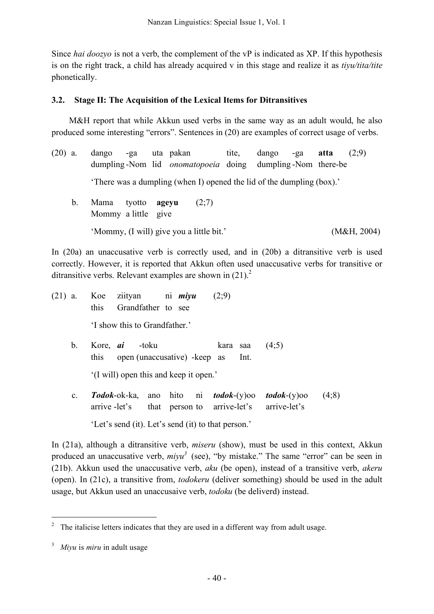Since *hai doozyo* is not a verb, the complement of the vP is indicated as XP. If this hypothesis is on the right track, a child has already acquired v in this stage and realize it as *tiyu/tita/tite* phonetically.

# **3.2. Stage II: The Acquisition of the Lexical Items for Ditransitives**

M&H report that while Akkun used verbs in the same way as an adult would, he also produced some interesting "errors". Sentences in (20) are examples of correct usage of verbs.

- (20) a. dango -ga uta pakan tite, dango -ga **atta** (2;9) dumpling -Nom lid *onomatopoeia* doing dumpling -Nom there-be 'There was a dumpling (when I) opened the lid of the dumpling (box).' b. Mama tyotto **ageyu** (2;7)
	- Mommy a little give 'Mommy, (I will) give you a little bit.' (M&H, 2004)

In (20a) an unaccusative verb is correctly used, and in (20b) a ditransitive verb is used correctly. However, it is reported that Akkun often used unaccusative verbs for transitive or ditransitive verbs. Relevant examples are shown in  $(21)^2$ 

- (21) a. Koe ziityan ni *miyu* (2;9) this Grandfather to see 'I show this to Grandfather.' b. Kore, *ai* -toku kara saa (4;5)
	- this open (unaccusative) -keep as Int. '(I will) open this and keep it open.'
	- c. *Todok*-ok-ka, ano hito ni *todok*-(y)oo *todok*-(y)oo (4;8) arrive -let's that person to arrive-let's arrive-let's

'Let's send (it). Let's send (it) to that person.'

In (21a), although a ditransitive verb, *miseru* (show), must be used in this context, Akkun produced an unaccusative verb, *miyu*<sup>3</sup> (see), "by mistake." The same "error" can be seen in (21b). Akkun used the unaccusative verb, *aku* (be open), instead of a transitive verb, *akeru* (open). In (21c), a transitive from, *todokeru* (deliver something) should be used in the adult usage, but Akkun used an unaccusaive verb, *todoku* (be deliverd) instead.

 <sup>2</sup> The italicise letters indicates that they are used in <sup>a</sup> different way from adult usage.

<sup>3</sup> *Miyu* is *miru* in adult usage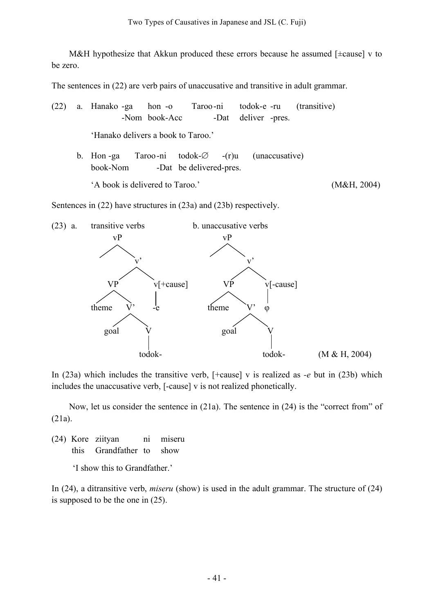M&H hypothesize that Akkun produced these errors because he assumed [±cause] v to be zero.

The sentences in (22) are verb pairs of unaccusative and transitive in adult grammar.

(22) a. Hanako -ga hon -o Taroo-ni todok-e -ru (transitive) -Nom book-Acc -Dat deliver -pres.

'Hanako delivers a book to Taroo.'

b. Hon -ga Taroo-ni todok-∅ -(r)u (unaccusative) book-Nom -Dat be delivered-pres.

'A book is delivered to Taroo.' (M&H, 2004)

Sentences in (22) have structures in (23a) and (23b) respectively.



In (23a) which includes the transitive verb, [+cause] v is realized as *-e* but in (23b) which includes the unaccusative verb, [-cause] v is not realized phonetically.

Now, let us consider the sentence in (21a). The sentence in (24) is the "correct from" of (21a).

(24) Kore ziityan ni miseru this Grandfather to show

'I show this to Grandfather.'

In (24), a ditransitive verb, *miseru* (show) is used in the adult grammar. The structure of (24) is supposed to be the one in (25).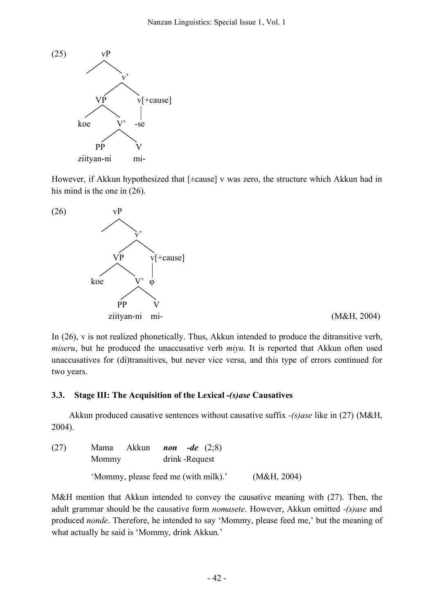

However, if Akkun hypothesized that [±cause] v was zero, the structure which Akkun had in his mind is the one in (26).



In (26), v is not realized phonetically. Thus, Akkun intended to produce the ditransitive verb, *miseru*, but he produced the unaccusative verb *miyu*. It is reported that Akkun often used unaccusatives for (di)transitives, but never vice versa, and this type of errors continued for two years.

## **3.3. Stage III: The Acquisition of the Lexical** *-(s)ase* **Causatives**

Akkun produced causative sentences without causative suffix *-(s)ase* like in (27) (M&H, 2004).

| (27) | Mama Akkun<br>Mommy | <i>non -de</i> $(2,8)$<br>drink-Request |             |
|------|---------------------|-----------------------------------------|-------------|
|      |                     | 'Mommy, please feed me (with milk).'    | (M&H, 2004) |

M&H mention that Akkun intended to convey the causative meaning with (27). Then, the adult grammar should be the causative form *nomasete*. However, Akkun omitted *-(s)ase* and produced *nonde*. Therefore, he intended to say 'Mommy, please feed me,' but the meaning of what actually he said is 'Mommy, drink Akkun.'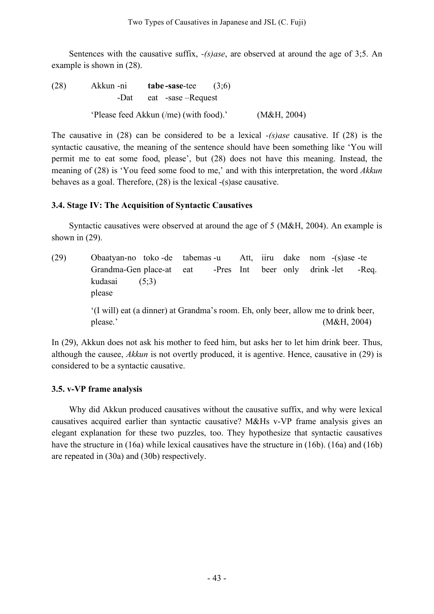Sentences with the causative suffix, *-(s)ase*, are observed at around the age of 3;5. An example is shown in (28).

(28) Akkun -ni **tabe -sase**-tee (3;6) -Dat eat -sase –Request 'Please feed Akkun (/me) (with food).' (M&H, 2004)

The causative in (28) can be considered to be a lexical *-(s)ase* causative. If (28) is the syntactic causative, the meaning of the sentence should have been something like 'You will permit me to eat some food, please', but (28) does not have this meaning. Instead, the meaning of (28) is 'You feed some food to me,' and with this interpretation, the word *Akkun* behaves as a goal. Therefore, (28) is the lexical -(s)ase causative.

# **3.4. Stage IV: The Acquisition of Syntactic Causatives**

Syntactic causatives were observed at around the age of 5 (M&H, 2004). An example is shown in (29).

(29) Obaatyan-no toko -de tabemas -u Att, iiru dake nom -(s)ase -te Grandma-Gen place-at eat -Pres Int beer only drink -let -Req. kudasai (5;3) please '(I will) eat (a dinner) at Grandma's room. Eh, only beer, allow me to drink beer, please.' (M&H, 2004)

In (29), Akkun does not ask his mother to feed him, but asks her to let him drink beer. Thus, although the causee, *Akkun* is not overtly produced, it is agentive. Hence, causative in (29) is considered to be a syntactic causative.

# **3.5. v-VP frame analysis**

Why did Akkun produced causatives without the causative suffix, and why were lexical causatives acquired earlier than syntactic causative? M&Hs v-VP frame analysis gives an elegant explanation for these two puzzles, too. They hypothesize that syntactic causatives have the structure in (16a) while lexical causatives have the structure in (16b). (16a) and (16b) are repeated in (30a) and (30b) respectively.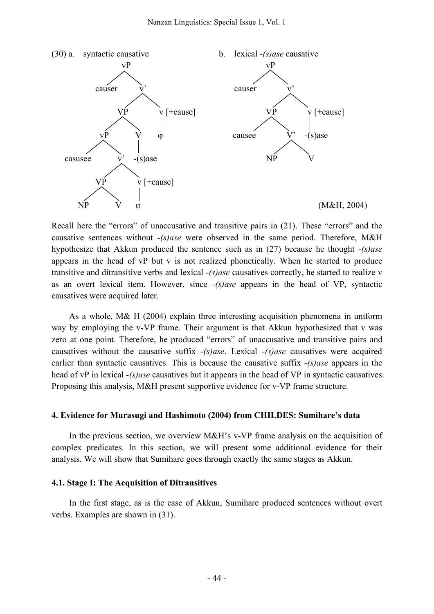

Recall here the "errors" of unaccusative and transitive pairs in (21). These "errors" and the causative sentences without *-(s)ase* were observed in the same period. Therefore, M&H hypothesize that Akkun produced the sentence such as in (27) because he thought *-(s)ase* appears in the head of vP but v is not realized phonetically. When he started to produce transitive and ditransitive verbs and lexical *-(s)ase* causatives correctly, he started to realize v as an overt lexical item. However, since *-(s)ase* appears in the head of VP, syntactic causatives were acquired later.

As a whole, M& H (2004) explain three interesting acquisition phenomena in uniform way by employing the v-VP frame. Their argument is that Akkun hypothesized that v was zero at one point. Therefore, he produced "errors" of unaccusative and transitive pairs and causatives without the causative suffix *-(s)ase*. Lexical *-(s)ase* causatives were acquired earlier than syntactic causatives. This is because the causative suffix *-(s)ase* appears in the head of vP in lexical *-(s)ase* causatives but it appears in the head of VP in syntactic causatives. Proposing this analysis, M&H present supportive evidence for v-VP frame structure.

#### **4. Evidence for Murasugi and Hashimoto (2004) from CHILDES: Sumihare's data**

In the previous section, we overview M&H's v-VP frame analysis on the acquisition of complex predicates. In this section, we will present some additional evidence for their analysis. We will show that Sumihare goes through exactly the same stages as Akkun.

### **4.1. Stage I: The Acquisition of Ditransitives**

In the first stage, as is the case of Akkun, Sumihare produced sentences without overt verbs. Examples are shown in (31).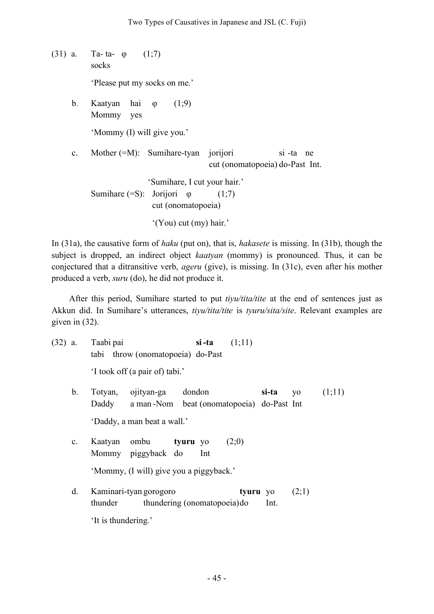(31) a. Ta- ta- φ (1;7) socks

'Please put my socks on me.'

b. Kaatyan hai φ (1;9) Mommy yes 'Mommy (I) will give you.'

c. Mother (=M): Sumihare-tyan jorijori si -ta ne cut (onomatopoeia) do-Past Int.

'Sumihare, I cut your hair.' Sumihare  $(=S)$ : Jorijori  $\varphi$  (1;7) cut (onomatopoeia) '(You) cut (my) hair.'

In (31a), the causative form of *haku* (put on), that is, *hakasete* is missing. In (31b), though the subject is dropped, an indirect object *kaatyan* (mommy) is pronounced. Thus, it can be conjectured that a ditransitive verb, *ageru* (give), is missing. In (31c), even after his mother produced a verb, *suru* (do), he did not produce it.

After this period, Sumihare started to put *tiyu/tita/tite* at the end of sentences just as Akkun did. In Sumihare's utterances, *tiyu/tita/tite* is *tyuru/sita/site*. Relevant examples are given in (32).

(32) a. Taabi pai **si-ta** (1;11) tabi throw (onomatopoeia) do-Past

'I took off (a pair of) tabi.'

- b. Totyan, ojityan-ga dondon **si-ta** yo (1;11) Daddy a man -Nom beat (onomatopoeia) do-Past Int 'Daddy, a man beat a wall.'
- c. Kaatyan ombu **tyuru** yo (2;0) Mommy piggyback do Int

'Mommy, (I will) give you a piggyback.'

d. Kaminari-tyan gorogoro **tyuru** yo (2;1) thunder thundering (onomatopoeia)do Int. 'It is thundering.'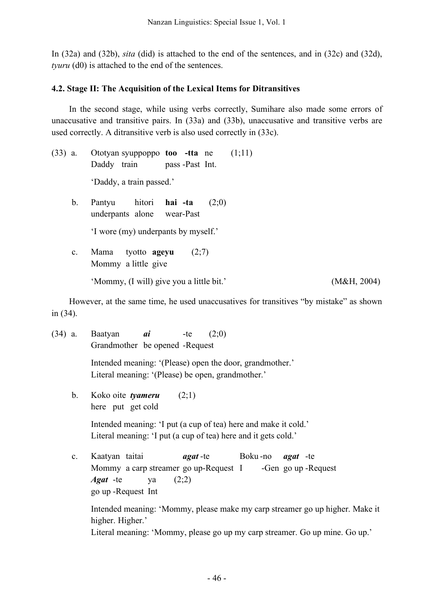In (32a) and (32b), *sita* (did) is attached to the end of the sentences, and in (32c) and (32d), *tyuru* (d0) is attached to the end of the sentences.

# **4.2. Stage II: The Acquisition of the Lexical Items for Ditransitives**

In the second stage, while using verbs correctly, Sumihare also made some errors of unaccusative and transitive pairs. In (33a) and (33b), unaccusative and transitive verbs are used correctly. A ditransitive verb is also used correctly in (33c).

- (33) a. Ototyan syuppoppo **too -tta** ne (1;11) Daddy train pass -Past Int. 'Daddy, a train passed.'
	- b. Pantyu hitori **hai -ta** (2;0) underpants alone wear-Past 'I wore (my) underpants by myself.'
	- c. Mama tyotto **ageyu** (2;7) Mommy a little give

'Mommy, (I will) give you a little bit.' (M&H, 2004)

However, at the same time, he used unaccusatives for transitives "by mistake" as shown in (34).

(34) a. Baatyan *ai* -te (2;0) Grandmother be opened -Request Intended meaning: '(Please) open the door, grandmother.' Literal meaning: '(Please) be open, grandmother.' b. Koko oite *tyameru* (2;1) here put get cold Intended meaning: 'I put (a cup of tea) here and make it cold.' Literal meaning: 'I put (a cup of tea) here and it gets cold.' c. Kaatyan taitai *agat* -te Boku -no *agat* -te Mommy a carp streamer go up-Request I -Gen go up-Request *Agat* -te ya (2;2) go up -Request Int Intended meaning: 'Mommy, please make my carp streamer go up higher. Make it higher. Higher.' Literal meaning: 'Mommy, please go up my carp streamer. Go up mine. Go up.'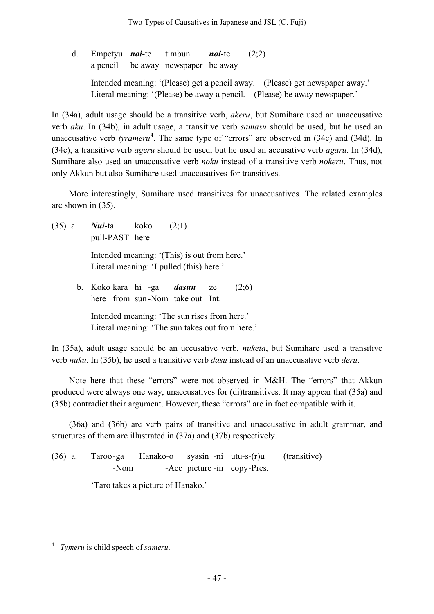d. Empetyu *noi*-te timbun *noi*-te (2;2) a pencil be away newspaper be away Intended meaning: '(Please) get a pencil away. (Please) get newspaper away.' Literal meaning: '(Please) be away a pencil. (Please) be away newspaper.'

In (34a), adult usage should be a transitive verb, *akeru*, but Sumihare used an unaccusative verb *aku*. In (34b), in adult usage, a transitive verb *samasu* should be used, but he used an unaccusative verb *tyrameru*<sup>4</sup>. The same type of "errors" are observed in (34c) and (34d). In (34c), a transitive verb *ageru* should be used, but he used an accusative verb *agaru*. In (34d), Sumihare also used an unaccusative verb *noku* instead of a transitive verb *nokeru*. Thus, not only Akkun but also Sumihare used unaccusatives for transitives.

More interestingly, Sumihare used transitives for unaccusatives. The related examples are shown in (35).

(35) a. *Nui*-ta koko (2;1) pull-PAST here

> Intended meaning: '(This) is out from here.' Literal meaning: 'I pulled (this) here.'

b. Koko kara hi -ga *dasun* ze (2;6) here from sun-Nom take out Int. Intended meaning: 'The sun rises from here.' Literal meaning: 'The sun takes out from here.'

In (35a), adult usage should be an uccusative verb, *nuketa*, but Sumihare used a transitive verb *nuku*. In (35b), he used a transitive verb *dasu* instead of an unaccusative verb *deru*.

Note here that these "errors" were not observed in M&H. The "errors" that Akkun produced were always one way, unaccusatives for (di)transitives. It may appear that (35a) and (35b) contradict their argument. However, these "errors" are in fact compatible with it.

(36a) and (36b) are verb pairs of transitive and unaccusative in adult grammar, and structures of them are illustrated in (37a) and (37b) respectively.

(36) a. Taroo-ga Hanako-o syasin -ni utu-s-(r)u (transitive) -Nom -Acc picture -in copy-Pres.

'Taro takes a picture of Hanako.'

 <sup>4</sup> *Tymeru* is child speech of *sameru*.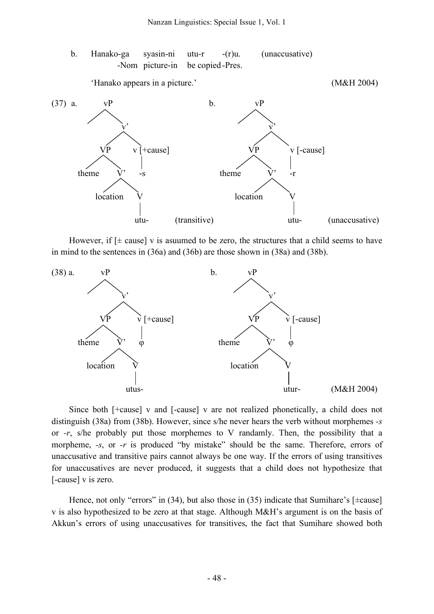b. Hanako-ga syasin-ni utu-r -(r)u. (unaccusative) -Nom picture-in be copied -Pres.

'Hanako appears in a picture.' (M&H 2004)



However, if  $[\pm \text{ cause}]$  v is asuumed to be zero, the structures that a child seems to have in mind to the sentences in (36a) and (36b) are those shown in (38a) and (38b).



Since both [+cause] v and [-cause] v are not realized phonetically, a child does not distinguish (38a) from (38b). However, since s/he never hears the verb without morphemes *-s* or *-r*, s/he probably put those morphemes to V randamly. Then, the possibility that a morpheme, *-s*, or *-r* is produced "by mistake" should be the same. Therefore, errors of unaccusative and transitive pairs cannot always be one way. If the errors of using transitives for unaccusatives are never produced, it suggests that a child does not hypothesize that [-cause] v is zero.

Hence, not only "errors" in  $(34)$ , but also those in  $(35)$  indicate that Sumihare's [ $\pm$ cause] v is also hypothesized to be zero at that stage. Although M&H's argument is on the basis of Akkun's errors of using unaccusatives for transitives, the fact that Sumihare showed both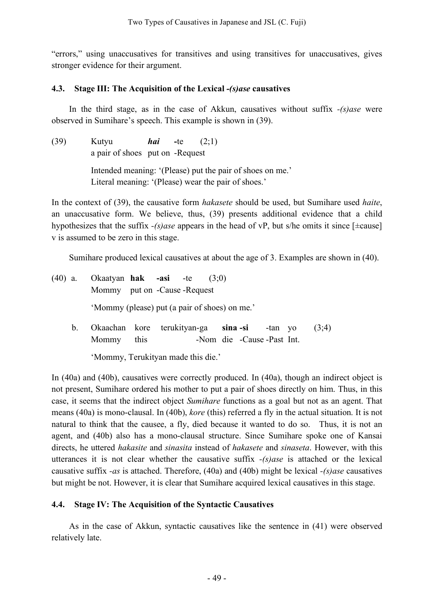"errors," using unaccusatives for transitives and using transitives for unaccusatives, gives stronger evidence for their argument.

# **4.3. Stage III: The Acquisition of the Lexical** *-(s)ase* **causatives**

In the third stage, as in the case of Akkun, causatives without suffix *-(s)ase* were observed in Sumihare's speech. This example is shown in (39).

(39) Kutyu *hai* **-**te (2;1) a pair of shoes put on -Request Intended meaning: '(Please) put the pair of shoes on me.' Literal meaning: '(Please) wear the pair of shoes.'

In the context of (39), the causative form *hakasete* should be used, but Sumihare used *haite*, an unaccusative form. We believe, thus, (39) presents additional evidence that a child hypothesizes that the suffix *-(s)ase* appears in the head of vP, but s/he omits it since [±cause] v is assumed to be zero in this stage.

Sumihare produced lexical causatives at about the age of 3. Examples are shown in (40).

| $(40)$ a. |         | Okaatyan hak -asi -te $(3,0)$<br>Mommy put on -Cause -Request |      |  |                            |         |       |
|-----------|---------|---------------------------------------------------------------|------|--|----------------------------|---------|-------|
|           |         | 'Mommy (please) put (a pair of shoes) on me.'                 |      |  |                            |         |       |
|           | $b_{-}$ | Okaachan kore terukityan-ga sina-si<br>Mommy                  | this |  | -Nom die -Cause -Past Int. | -tan yo | (3,4) |

'Mommy, Terukityan made this die.'

In (40a) and (40b), causatives were correctly produced. In (40a), though an indirect object is not present, Sumihare ordered his mother to put a pair of shoes directly on him. Thus, in this case, it seems that the indirect object *Sumihare* functions as a goal but not as an agent. That means (40a) is mono-clausal. In (40b), *kore* (this) referred a fly in the actual situation. It is not natural to think that the causee, a fly, died because it wanted to do so. Thus, it is not an agent, and (40b) also has a mono-clausal structure. Since Sumihare spoke one of Kansai directs, he uttered *hakasite* and *sinasita* instead of *hakasete* and *sinaseta*. However, with this utterances it is not clear whether the causative suffix *-(s)ase* is attached or the lexical causative suffix *-as* is attached. Therefore, (40a) and (40b) might be lexical *-(s)ase* causatives but might be not. However, it is clear that Sumihare acquired lexical causatives in this stage.

# **4.4. Stage IV: The Acquisition of the Syntactic Causatives**

As in the case of Akkun, syntactic causatives like the sentence in (41) were observed relatively late.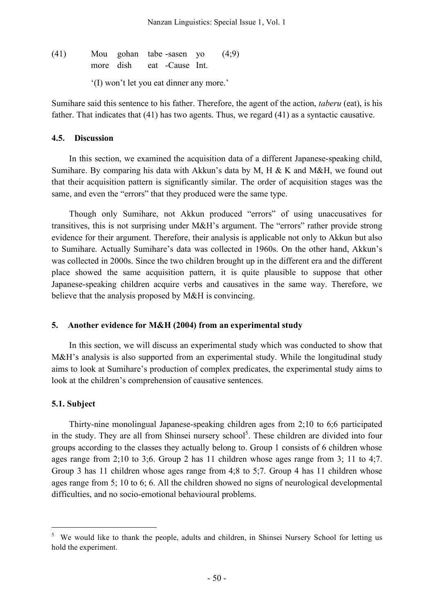(41) Mou gohan tabe -sasen yo (4;9) more dish eat -Cause Int.

'(I) won't let you eat dinner any more.'

Sumihare said this sentence to his father. Therefore, the agent of the action, *taberu* (eat), is his father. That indicates that (41) has two agents. Thus, we regard (41) as a syntactic causative.

### **4.5. Discussion**

In this section, we examined the acquisition data of a different Japanese-speaking child, Sumihare. By comparing his data with Akkun's data by M, H & K and M&H, we found out that their acquisition pattern is significantly similar. The order of acquisition stages was the same, and even the "errors" that they produced were the same type.

Though only Sumihare, not Akkun produced "errors" of using unaccusatives for transitives, this is not surprising under M&H's argument. The "errors" rather provide strong evidence for their argument. Therefore, their analysis is applicable not only to Akkun but also to Sumihare. Actually Sumihare's data was collected in 1960s. On the other hand, Akkun's was collected in 2000s. Since the two children brought up in the different era and the different place showed the same acquisition pattern, it is quite plausible to suppose that other Japanese-speaking children acquire verbs and causatives in the same way. Therefore, we believe that the analysis proposed by M&H is convincing.

## **5. Another evidence for M&H (2004) from an experimental study**

In this section, we will discuss an experimental study which was conducted to show that M&H's analysis is also supported from an experimental study. While the longitudinal study aims to look at Sumihare's production of complex predicates, the experimental study aims to look at the children's comprehension of causative sentences.

## **5.1. Subject**

Thirty-nine monolingual Japanese-speaking children ages from 2;10 to 6;6 participated in the study. They are all from Shinsei nursery school $<sup>5</sup>$ . These children are divided into four</sup> groups according to the classes they actually belong to. Group 1 consists of 6 children whose ages range from 2;10 to 3;6. Group 2 has 11 children whose ages range from 3; 11 to 4;7. Group 3 has 11 children whose ages range from 4;8 to 5;7. Group 4 has 11 children whose ages range from 5; 10 to 6; 6. All the children showed no signs of neurological developmental difficulties, and no socio-emotional behavioural problems.

 <sup>5</sup> We would like to thank the people, adults and children, in Shinsei Nursery School for letting us hold the experiment.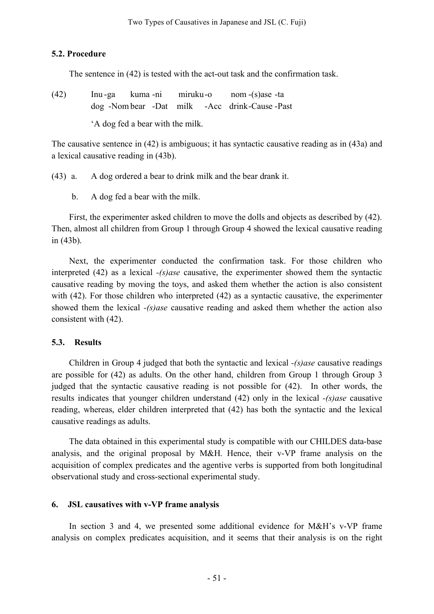### **5.2. Procedure**

The sentence in (42) is tested with the act-out task and the confirmation task.

(42) Inu -ga kuma -ni miruku-o nom -(s)ase -ta dog -Nom bear -Dat milk -Acc drink-Cause -Past 'A dog fed a bear with the milk.

The causative sentence in (42) is ambiguous; it has syntactic causative reading as in (43a) and a lexical causative reading in (43b).

(43) a. A dog ordered a bear to drink milk and the bear drank it.

b. A dog fed a bear with the milk.

First, the experimenter asked children to move the dolls and objects as described by (42). Then, almost all children from Group 1 through Group 4 showed the lexical causative reading in (43b).

Next, the experimenter conducted the confirmation task. For those children who interpreted (42) as a lexical *-(s)ase* causative, the experimenter showed them the syntactic causative reading by moving the toys, and asked them whether the action is also consistent with (42). For those children who interpreted (42) as a syntactic causative, the experimenter showed them the lexical *-(s)ase* causative reading and asked them whether the action also consistent with (42).

### **5.3. Results**

Children in Group 4 judged that both the syntactic and lexical *-(s)ase* causative readings are possible for (42) as adults. On the other hand, children from Group 1 through Group 3 judged that the syntactic causative reading is not possible for (42). In other words, the results indicates that younger children understand (42) only in the lexical *-(s)ase* causative reading, whereas, elder children interpreted that (42) has both the syntactic and the lexical causative readings as adults.

The data obtained in this experimental study is compatible with our CHILDES data-base analysis, and the original proposal by M&H. Hence, their v-VP frame analysis on the acquisition of complex predicates and the agentive verbs is supported from both longitudinal observational study and cross-sectional experimental study.

## **6. JSL causatives with v-VP frame analysis**

In section 3 and 4, we presented some additional evidence for M&H's v-VP frame analysis on complex predicates acquisition, and it seems that their analysis is on the right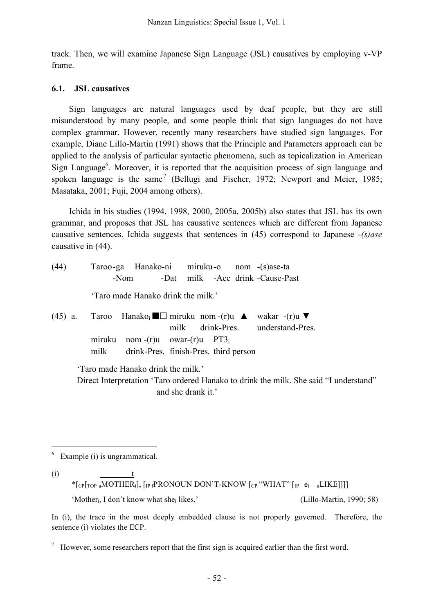track. Then, we will examine Japanese Sign Language (JSL) causatives by employing v-VP frame.

## **6.1. JSL causatives**

Sign languages are natural languages used by deaf people, but they are still misunderstood by many people, and some people think that sign languages do not have complex grammar. However, recently many researchers have studied sign languages. For example, Diane Lillo-Martin (1991) shows that the Principle and Parameters approach can be applied to the analysis of particular syntactic phenomena, such as topicalization in American Sign Language<sup>6</sup>. Moreover, it is reported that the acquisition process of sign language and spoken language is the same<sup>7</sup> (Bellugi and Fischer, 1972; Newport and Meier, 1985; Masataka, 2001; Fuji, 2004 among others).

Ichida in his studies (1994, 1998, 2000, 2005a, 2005b) also states that JSL has its own grammar, and proposes that JSL has causative sentences which are different from Japanese causative sentences. Ichida suggests that sentences in (45) correspond to Japanese *-(s)ase* causative in (44).

| (44) |      | Taroo-ga Hanako-ni miruku-o nom (s)ase-ta        |  |  |                                                                                                                        |
|------|------|--------------------------------------------------|--|--|------------------------------------------------------------------------------------------------------------------------|
|      |      | -Nom                                             |  |  | -Dat milk -Acc drink -Cause-Past                                                                                       |
|      |      | 'Taro made Hanako drink the milk.'               |  |  |                                                                                                                        |
|      |      |                                                  |  |  | (45) a. Taroo Hanako <sub>i</sub> $\blacksquare$ miruku nom -(r)u ▲ wakar -(r)u ▼<br>milk drink-Pres. understand-Pres. |
|      |      | miruku nom $-(r)u$ owar $-(r)u$ PT3 <sub>i</sub> |  |  |                                                                                                                        |
|      | milk | drink-Pres. finish-Pres. third person            |  |  |                                                                                                                        |
|      |      | 'Taro made Hanako drink the milk.'               |  |  |                                                                                                                        |

Direct Interpretation 'Taro ordered Hanako to drink the milk. She said "I understand" and she drank it.'

 $6$  Example (i) is ungrammatical.

 $(i)$  t

\* $[CP]$ <sub>TOP a</sub>MOTHER<sub>i</sub>],  $[IP$ <sub>f</sub>PRONOUN DON'T-KNOW  $[CP$ <sup>"</sup>WHAT" $[IP]$   $e_i$  aLIKE]]]]

'Mother<sub>i</sub>, I don't know what she<sub>i</sub> likes.' (Lillo-Martin, 1990; 58)

In (i), the trace in the most deeply embedded clause is not properly governed. Therefore, the sentence (i) violates the ECP.

 $\frac{7}{10}$  However, some researchers report that the first sign is acquired earlier than the first word.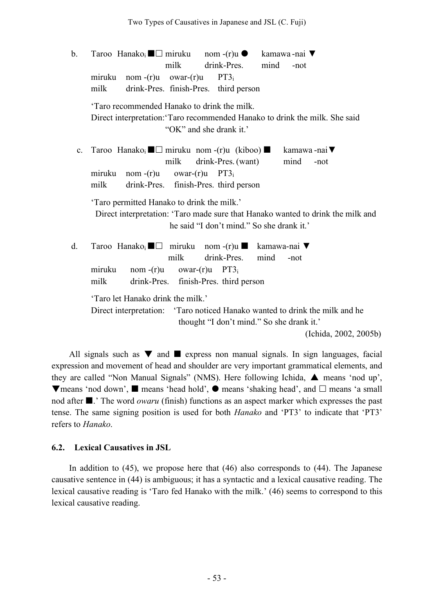b. Taroo Hanako;  $\blacksquare$  miruku nom -(r)u ● kamawa -nai ▼ milk drink-Pres. mind -not miruku nom -(r)u owar-(r)u PT3i milk drink-Pres. finish-Pres. third person 'Taro recommended Hanako to drink the milk. Direct interpretation:'Taro recommended Hanako to drink the milk. She said "OK" and she drank it.' c. Taroo Hanako;  $\blacksquare$  miruku nom -(r)u (kiboo)  $\blacksquare$  kamawa -nai milk drink-Pres. (want) mind -not miruku nom -(r)u owar-(r)u PT3i milk drink-Pres. finish-Pres. third person 'Taro permitted Hanako to drink the milk.' Direct interpretation: 'Taro made sure that Hanako wanted to drink the milk and he said "I don't mind." So she drank it.' d. Taroo Hanako<sub>i</sub>  $\blacksquare$  miruku nom -(r)u kamawa-nai ▼ milk drink-Pres. mind -not miruku nom -(r)u owar-(r)u PT3<sub>i</sub> milk drink-Pres. finish-Pres. third person 'Taro let Hanako drink the milk.' Direct interpretation: 'Taro noticed Hanako wanted to drink the milk and he thought "I don't mind." So she drank it.' (Ichida, 2002, 2005b)

All signals such as  $\nabla$  and  $\blacksquare$  express non manual signals. In sign languages, facial expression and movement of head and shoulder are very important grammatical elements, and they are called "Non Manual Signals" (NMS). Here following Ichida, ▲ means 'nod up',  $\nabla$ means 'nod down',  $\blacksquare$  means 'head hold',  $\spadesuit$  means 'shaking head', and  $\Box$  means 'a small nod after  $\blacksquare$ .' The word *owaru* (finish) functions as an aspect marker which expresses the past tense. The same signing position is used for both *Hanako* and 'PT3' to indicate that 'PT3' refers to *Hanako*.

### **6.2. Lexical Causatives in JSL**

In addition to (45), we propose here that (46) also corresponds to (44). The Japanese causative sentence in (44) is ambiguous; it has a syntactic and a lexical causative reading. The lexical causative reading is 'Taro fed Hanako with the milk.' (46) seems to correspond to this lexical causative reading.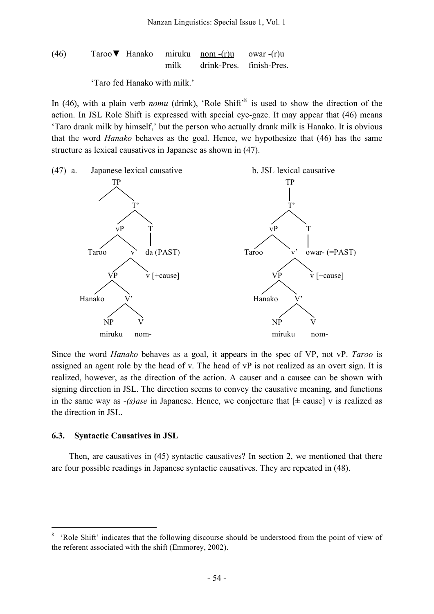$$
(46) \t\tTaroo
$$
 **⊓** Hanako *miruku* nom -(r)u owar -(r)u   
 *mirik* drink-Pres. *finish-Pres.*

'Taro fed Hanako with milk.'

In (46), with a plain verb *nomu* (drink), 'Role Shift<sup>'8</sup> is used to show the direction of the action. In JSL Role Shift is expressed with special eye-gaze. It may appear that (46) means 'Taro drank milk by himself,' but the person who actually drank milk is Hanako. It is obvious that the word *Hanako* behaves as the goal. Hence, we hypothesize that (46) has the same structure as lexical causatives in Japanese as shown in (47).



Since the word *Hanako* behaves as a goal, it appears in the spec of VP, not vP. *Taroo* is assigned an agent role by the head of v. The head of vP is not realized as an overt sign. It is realized, however, as the direction of the action. A causer and a causee can be shown with signing direction in JSL. The direction seems to convey the causative meaning, and functions in the same way as  $-(s)$ *ase* in Japanese. Hence, we conjecture that  $[\pm \text{ cause}]$  v is realized as the direction in JSL.

#### **6.3. Syntactic Causatives in JSL**

Then, are causatives in (45) syntactic causatives? In section 2, we mentioned that there are four possible readings in Japanese syntactic causatives. They are repeated in (48).

<sup>&#</sup>x27;Role Shift' indicates that the following discourse should be understood from the point of view of the referent associated with the shift (Emmorey, 2002).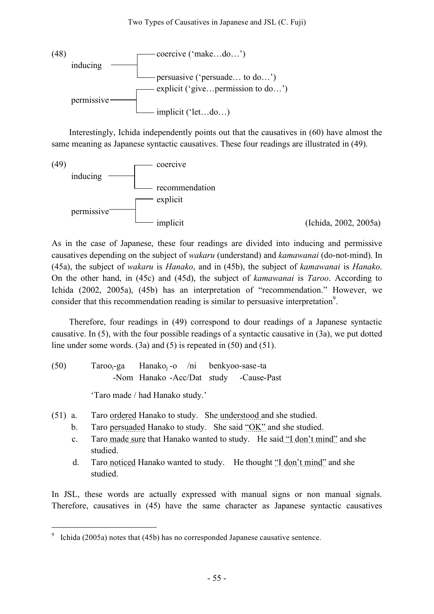

Interestingly, Ichida independently points out that the causatives in (60) have almost the same meaning as Japanese syntactic causatives. These four readings are illustrated in (49).



As in the case of Japanese, these four readings are divided into inducing and permissive causatives depending on the subject of *wakaru* (understand) and *kamawanai* (do-not-mind). In (45a), the subject of *wakaru* is *Hanako*, and in (45b), the subject of *kamawanai* is *Hanako*. On the other hand, in (45c) and (45d), the subject of *kamawanai* is *Taroo*. According to Ichida (2002, 2005a), (45b) has an interpretation of "recommendation." However, we consider that this recommendation reading is similar to persuasive interpretation<sup>9</sup>.

Therefore, four readings in (49) correspond to dour readings of a Japanese syntactic causative. In (5), with the four possible readings of a syntactic causative in (3a), we put dotted line under some words. (3a) and (5) is repeated in (50) and (51).

(50) Tarooi-ga Hanakoj -o /ni benkyoo-sase-ta -Nom Hanako -Acc/Dat study -Cause-Past

'Taro made / had Hanako study.'

- (51) a. Taro ordered Hanako to study. She understood and she studied.
	- b. Taro persuaded Hanako to study. She said "OK" and she studied.
	- c. Taro made sure that Hanako wanted to study. He said "I don't mind" and she studied.
	- d. Taro noticed Hanako wanted to study. He thought "I don't mind" and she studied.

In JSL, these words are actually expressed with manual signs or non manual signals. Therefore, causatives in (45) have the same character as Japanese syntactic causatives

Ichida (2005a) notes that (45b) has no corresponded Japanese causative sentence.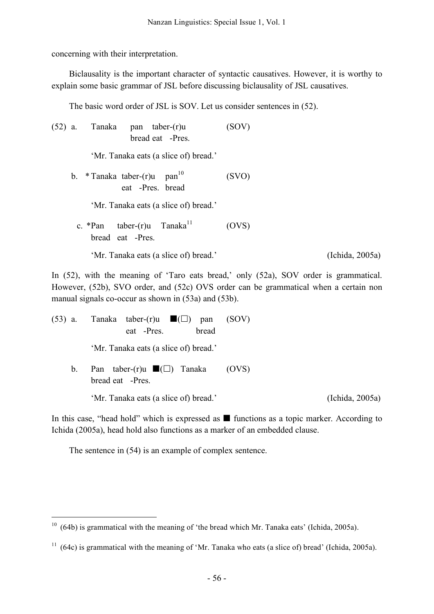concerning with their interpretation.

Biclausality is the important character of syntactic causatives. However, it is worthy to explain some basic grammar of JSL before discussing biclausality of JSL causatives.

The basic word order of JSL is SOV. Let us consider sentences in (52).

(52) a. Tanaka pan taber-(r)u (SOV) bread eat -Pres. 'Mr. Tanaka eats (a slice of) bread.' b. \* Tanaka taber- $(r)$ u pan<sup>10</sup>  $(SVO)$ eat -Pres. bread 'Mr. Tanaka eats (a slice of) bread.' c. \*Pan taber-(r)u  $Tanaka$ <sup>11</sup> (OVS) bread eat -Pres. 'Mr. Tanaka eats (a slice of) bread.' (Ichida, 2005a)

In (52), with the meaning of 'Taro eats bread,' only (52a), SOV order is grammatical. However, (52b), SVO order, and (52c) OVS order can be grammatical when a certain non manual signals co-occur as shown in (53a) and (53b).

|         | (53) a. Tanaka taber-(r)u $\blacksquare(\square)$<br>pan<br>bread<br>eat -Pres. | (SOV) |                 |
|---------|---------------------------------------------------------------------------------|-------|-----------------|
|         | 'Mr. Tanaka eats (a slice of) bread.'                                           |       |                 |
| $b_{-}$ | Pan taber-(r)u $\blacksquare(\square)$ Tanaka<br>bread eat -Pres.               | (OVS) |                 |
|         | 'Mr. Tanaka eats (a slice of) bread.'                                           |       | (Ichida, 2005a) |

In this case, "head hold" which is expressed as  $\blacksquare$  functions as a topic marker. According to Ichida (2005a), head hold also functions as a marker of an embedded clause.

The sentence in (54) is an example of complex sentence.

 $10$  (64b) is grammatical with the meaning of 'the bread which Mr. Tanaka eats' (Ichida, 2005a).

 $11$  (64c) is grammatical with the meaning of 'Mr. Tanaka who eats (a slice of) bread' (Ichida, 2005a).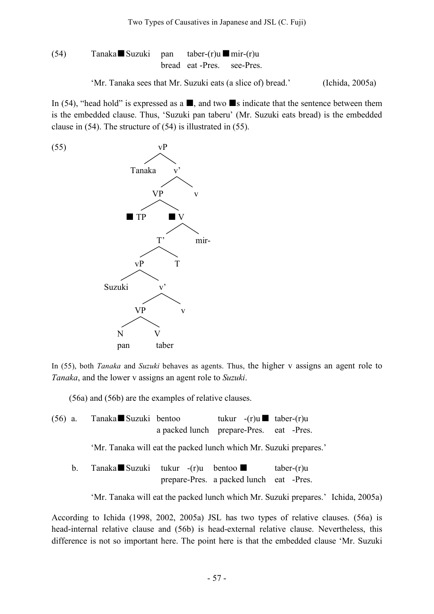(54) Tanaka 
$$
■
$$
 Suzuki pan taber-(r)u  $■$ mir-(r)u  
bread eat -Pres. see-Pres.

'Mr. Tanaka sees that Mr. Suzuki eats (a slice of) bread.' (Ichida, 2005a)

In (54), "head hold" is expressed as a  $\blacksquare$ , and two  $\blacksquare$  s indicate that the sentence between them is the embedded clause. Thus, 'Suzuki pan taberu' (Mr. Suzuki eats bread) is the embedded clause in (54). The structure of (54) is illustrated in (55).



In (55), both *Tanaka* and *Suzuki* behaves as agents. Thus, the higher v assigns an agent role to *Tanaka*, and the lower v assigns an agent role to *Suzuki*.

(56a) and (56b) are the examples of relative clauses.

| $(56)$ a. | Tanaka Suzuki bentoo |                                         | tukur $-(r)u$ aber $-(r)u$ |  |
|-----------|----------------------|-----------------------------------------|----------------------------|--|
|           |                      | a packed lunch prepare-Pres. eat -Pres. |                            |  |

'Mr. Tanaka will eat the packed lunch which Mr. Suzuki prepares.'

b. Tanaka Suzuki tukur  $-(r)u$  bentoo taber-(r)u prepare-Pres. a packed lunch eat -Pres.

'Mr. Tanaka will eat the packed lunch which Mr. Suzuki prepares.' Ichida, 2005a)

According to Ichida (1998, 2002, 2005a) JSL has two types of relative clauses. (56a) is head-internal relative clause and (56b) is head-external relative clause. Nevertheless, this difference is not so important here. The point here is that the embedded clause 'Mr. Suzuki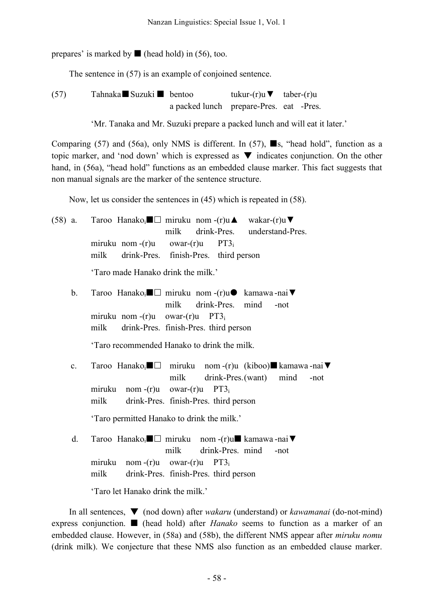prepares' is marked by  $\blacksquare$  (head hold) in (56), too.

The sentence in (57) is an example of conjoined sentence.

(57) Tahnaka $\blacksquare$  Suzuki  $\blacksquare$  bentoo tukur-(r)u  $\nabla$  taber-(r)u a packed lunch prepare-Pres. eat -Pres.

'Mr. Tanaka and Mr. Suzuki prepare a packed lunch and will eat it later.'

Comparing (57) and (56a), only NMS is different. In (57),  $\blacksquare$ s, "head hold", function as a topic marker, and 'nod down' which is expressed as  $\nabla$  indicates conjunction. On the other hand, in (56a), "head hold" functions as an embedded clause marker. This fact suggests that non manual signals are the marker of the sentence structure.

Now, let us consider the sentences in (45) which is repeated in (58).

(58) a. Taroo Hanako<sub>i</sub>  $\Box$  miruku nom -(r)u  $\blacktriangle$  wakar-(r)u  $\nabla$ milk drink-Pres. understand-Pres. miruku nom -(r)u owar-(r)u PT3<sub>i</sub> milk drink-Pres. finish-Pres. third person 'Taro made Hanako drink the milk.'

b. Taroo Hanako<sub>i</sub> <u>miruku nom -(r)u</u> kamawa -nai▼ milk drink-Pres. mind -not miruku nom  $-(r)u$  owar $-(r)u$  PT3<sub>i</sub> milk drink-Pres. finish-Pres. third person

'Taro recommended Hanako to drink the milk.

c. Taroo Hanako; $\blacksquare$  miruku nom -(r)u (kiboo) $\blacksquare$  kamawa -nai $\blacktriangledown$ milk drink-Pres.(want) mind -not miruku nom -(r)u owar-(r)u PT3i milk drink-Pres. finish-Pres. third person

'Taro permitted Hanako to drink the milk.'

d. Taroo Hanako<sub>i</sub> <u>■</u> miruku nom -(r)u kamawa -nai ▼ milk drink-Pres. mind -not miruku nom -(r)u owar-(r)u PT3i milk drink-Pres. finish-Pres. third person

'Taro let Hanako drink the milk.'

In all sentences, ▼ (nod down) after *wakaru* (understand) or *kawamanai* (do-not-mind) express conjunction.  $\blacksquare$  (head hold) after *Hanako* seems to function as a marker of an embedded clause. However, in (58a) and (58b), the different NMS appear after *miruku nomu* (drink milk). We conjecture that these NMS also function as an embedded clause marker.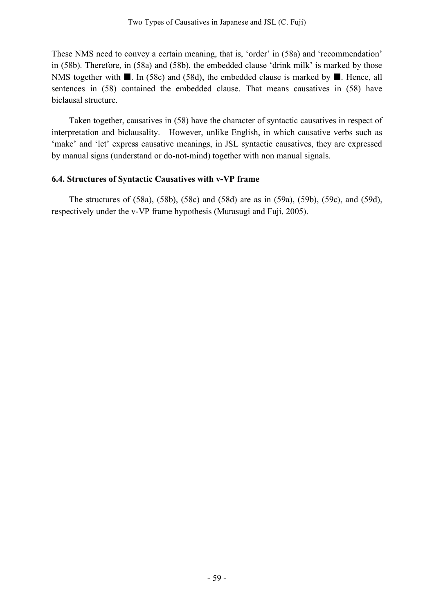These NMS need to convey a certain meaning, that is, 'order' in (58a) and 'recommendation' in (58b). Therefore, in (58a) and (58b), the embedded clause 'drink milk' is marked by those NMS together with  $\blacksquare$ . In (58c) and (58d), the embedded clause is marked by  $\blacksquare$ . Hence, all sentences in (58) contained the embedded clause. That means causatives in (58) have biclausal structure.

Taken together, causatives in (58) have the character of syntactic causatives in respect of interpretation and biclausality. However, unlike English, in which causative verbs such as 'make' and 'let' express causative meanings, in JSL syntactic causatives, they are expressed by manual signs (understand or do-not-mind) together with non manual signals.

# **6.4. Structures of Syntactic Causatives with v-VP frame**

The structures of (58a), (58b), (58c) and (58d) are as in (59a), (59b), (59c), and (59d), respectively under the v-VP frame hypothesis (Murasugi and Fuji, 2005).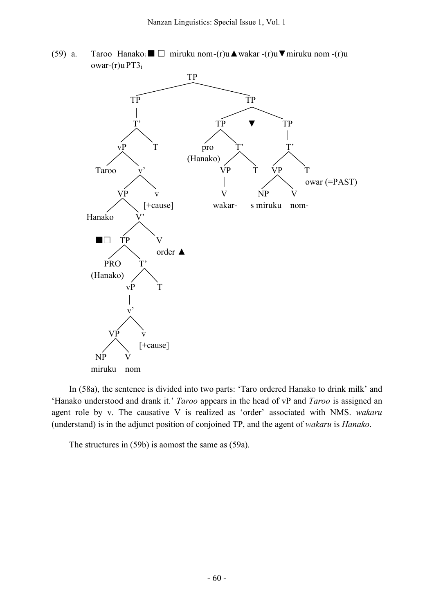(59) a. Taroo Hanako $\overline{\mathbf{a}} \square$  miruku nom-(r)u $\blacktriangle$  wakar -(r)u $\nabla$ miruku nom -(r)u owar- $(r)$ u PT $3<sub>i</sub>$ 



In (58a), the sentence is divided into two parts: 'Taro ordered Hanako to drink milk' and 'Hanako understood and drank it.' *Taroo* appears in the head of vP and *Taroo* is assigned an agent role by v. The causative V is realized as 'order' associated with NMS. *wakaru* (understand) is in the adjunct position of conjoined TP, and the agent of *wakaru* is *Hanako*.

The structures in (59b) is aomost the same as (59a).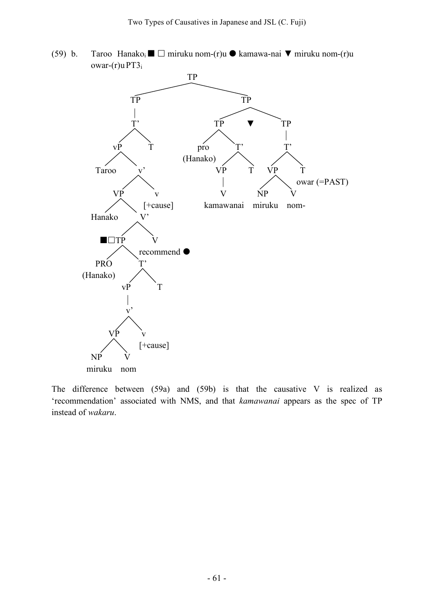(59) b. Taroo Hanako<sub>i</sub>  $\Box$  miruku nom-(r)u  $\Diamond$  kamawa-nai  $\nabla$  miruku nom-(r)u owar-(r)u PT3i



The difference between (59a) and (59b) is that the causative V is realized as 'recommendation' associated with NMS, and that *kamawanai* appears as the spec of TP instead of *wakaru*.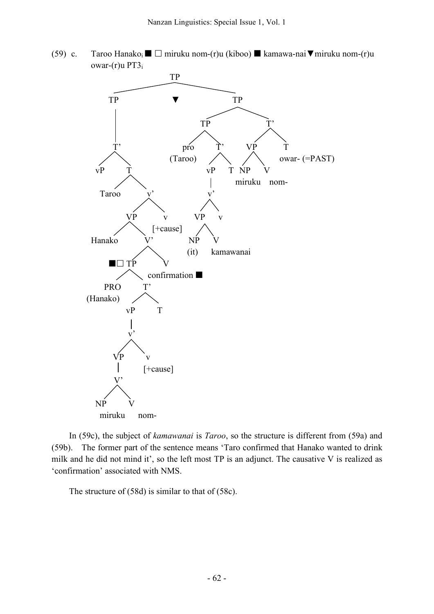(59) c. Taroo Hanako $\mathbf{m} = \mathbf{m}$ iruku nom-(r)u (kiboo)  $\mathbf{m}$  kamawa-nai  $\nabla$ miruku nom-(r)u owar-(r)u PT3i



In (59c), the subject of *kamawanai* is *Taroo*, so the structure is different from (59a) and (59b). The former part of the sentence means 'Taro confirmed that Hanako wanted to drink milk and he did not mind it', so the left most TP is an adjunct. The causative V is realized as 'confirmation' associated with NMS.

The structure of (58d) is similar to that of (58c).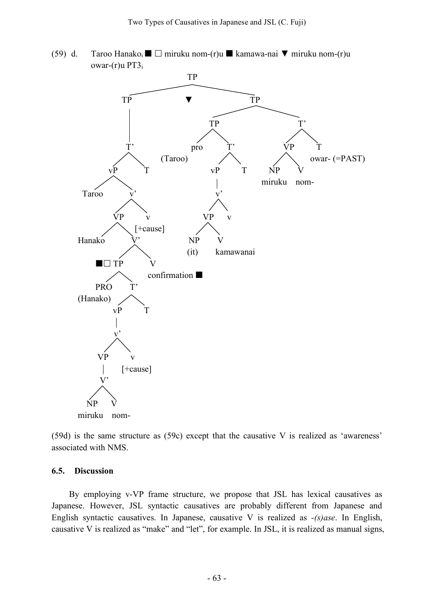(59) d. Taroo Hanako<sub>i</sub>  $\Box$  miruku nom-(r)u  $\Box$  kamawa-nai  $\nabla$  miruku nom-(r)u owar-(r)u PT3<sub>i</sub>



(59d) is the same structure as (59c) except that the causative V is realized as 'awareness' associated with NMS.

### **6.5. Discussion**

By employing v-VP frame structure, we propose that JSL has lexical causatives as Japanese. However, JSL syntactic causatives are probably different from Japanese and English syntactic causatives. In Japanese, causative V is realized as *-(s)ase*. In English, causative V is realized as "make" and "let", for example. In JSL, it is realized as manual signs,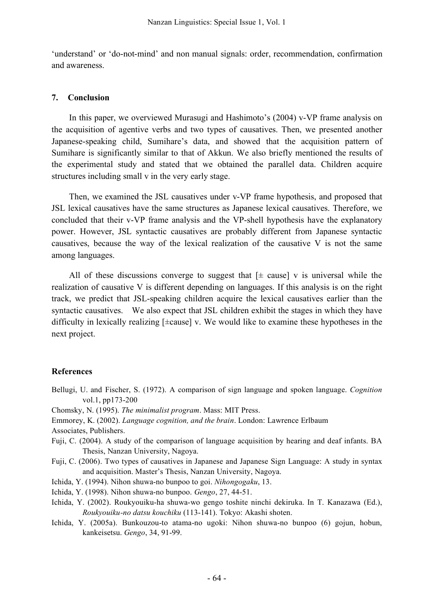'understand' or 'do-not-mind' and non manual signals: order, recommendation, confirmation and awareness.

### **7. Conclusion**

In this paper, we overviewed Murasugi and Hashimoto's (2004) v-VP frame analysis on the acquisition of agentive verbs and two types of causatives. Then, we presented another Japanese-speaking child, Sumihare's data, and showed that the acquisition pattern of Sumihare is significantly similar to that of Akkun. We also briefly mentioned the results of the experimental study and stated that we obtained the parallel data. Children acquire structures including small v in the very early stage.

Then, we examined the JSL causatives under v-VP frame hypothesis, and proposed that JSL lexical causatives have the same structures as Japanese lexical causatives. Therefore, we concluded that their v-VP frame analysis and the VP-shell hypothesis have the explanatory power. However, JSL syntactic causatives are probably different from Japanese syntactic causatives, because the way of the lexical realization of the causative V is not the same among languages.

All of these discussions converge to suggest that  $[\pm \text{ cause}]$  v is universal while the realization of causative V is different depending on languages. If this analysis is on the right track, we predict that JSL-speaking children acquire the lexical causatives earlier than the syntactic causatives. We also expect that JSL children exhibit the stages in which they have difficulty in lexically realizing [±cause] v. We would like to examine these hypotheses in the next project.

## **References**

- Bellugi, U. and Fischer, S. (1972). A comparison of sign language and spoken language. *Cognition* vol.1, pp173-200
- Chomsky, N. (1995). *The minimalist program*. Mass: MIT Press.
- Emmorey, K. (2002). *Language cognition, and the brain*. London: Lawrence Erlbaum

Associates, Publishers.

- Fuji, C. (2004). A study of the comparison of language acquisition by hearing and deaf infants. BA Thesis, Nanzan University, Nagoya.
- Fuji, C. (2006). Two types of causatives in Japanese and Japanese Sign Language: A study in syntax and acquisition. Master's Thesis, Nanzan University, Nagoya.
- Ichida, Y. (1994). Nihon shuwa-no bunpoo to goi. *Nihongogaku*, 13.
- Ichida, Y. (1998). Nihon shuwa-no bunpoo. *Gengo*, 27, 44-51.
- Ichida, Y. (2002). Roukyouiku-ha shuwa-wo gengo toshite ninchi dekiruka. In T. Kanazawa (Ed.), *Roukyouiku-no datsu kouchiku* (113-141). Tokyo: Akashi shoten.
- Ichida, Y. (2005a). Bunkouzou-to atama-no ugoki: Nihon shuwa-no bunpoo (6) gojun, hobun, kankeisetsu. *Gengo*, 34, 91-99.